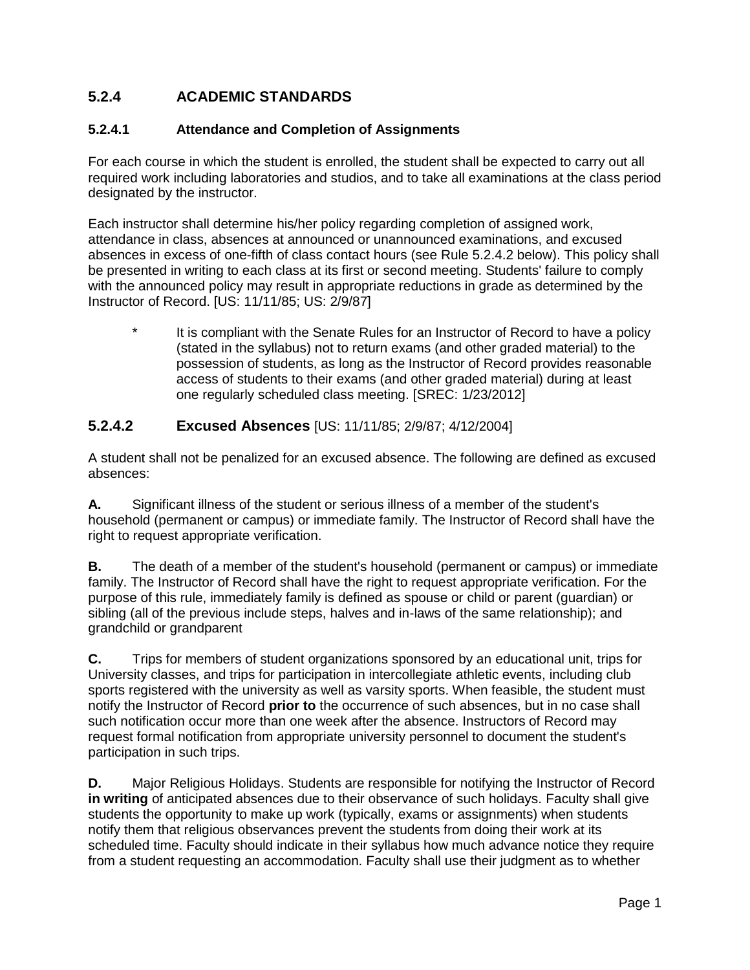## **5.2.4 ACADEMIC STANDARDS**

#### **5.2.4.1 Attendance and Completion of Assignments**

For each course in which the student is enrolled, the student shall be expected to carry out all required work including laboratories and studios, and to take all examinations at the class period designated by the instructor.

Each instructor shall determine his/her policy regarding completion of assigned work, attendance in class, absences at announced or unannounced examinations, and excused absences in excess of one-fifth of class contact hours (see Rule 5.2.4.2 below). This policy shall be presented in writing to each class at its first or second meeting. Students' failure to comply with the announced policy may result in appropriate reductions in grade as determined by the Instructor of Record. [US: 11/11/85; US: 2/9/87]

It is compliant with the Senate Rules for an Instructor of Record to have a policy (stated in the syllabus) not to return exams (and other graded material) to the possession of students, as long as the Instructor of Record provides reasonable access of students to their exams (and other graded material) during at least one regularly scheduled class meeting. [SREC: 1/23/2012]

#### **5.2.4.2 Excused Absences** [US: 11/11/85; 2/9/87; 4/12/2004]

A student shall not be penalized for an excused absence. The following are defined as excused absences:

**A.** Significant illness of the student or serious illness of a member of the student's household (permanent or campus) or immediate family. The Instructor of Record shall have the right to request appropriate verification.

**B.** The death of a member of the student's household (permanent or campus) or immediate family. The Instructor of Record shall have the right to request appropriate verification. For the purpose of this rule, immediately family is defined as spouse or child or parent (guardian) or sibling (all of the previous include steps, halves and in-laws of the same relationship); and grandchild or grandparent

**C.** Trips for members of student organizations sponsored by an educational unit, trips for University classes, and trips for participation in intercollegiate athletic events, including club sports registered with the university as well as varsity sports. When feasible, the student must notify the Instructor of Record **prior to** the occurrence of such absences, but in no case shall such notification occur more than one week after the absence. Instructors of Record may request formal notification from appropriate university personnel to document the student's participation in such trips.

**D.** Major Religious Holidays. Students are responsible for notifying the Instructor of Record **in writing** of anticipated absences due to their observance of such holidays. Faculty shall give students the opportunity to make up work (typically, exams or assignments) when students notify them that religious observances prevent the students from doing their work at its scheduled time. Faculty should indicate in their syllabus how much advance notice they require from a student requesting an accommodation. Faculty shall use their judgment as to whether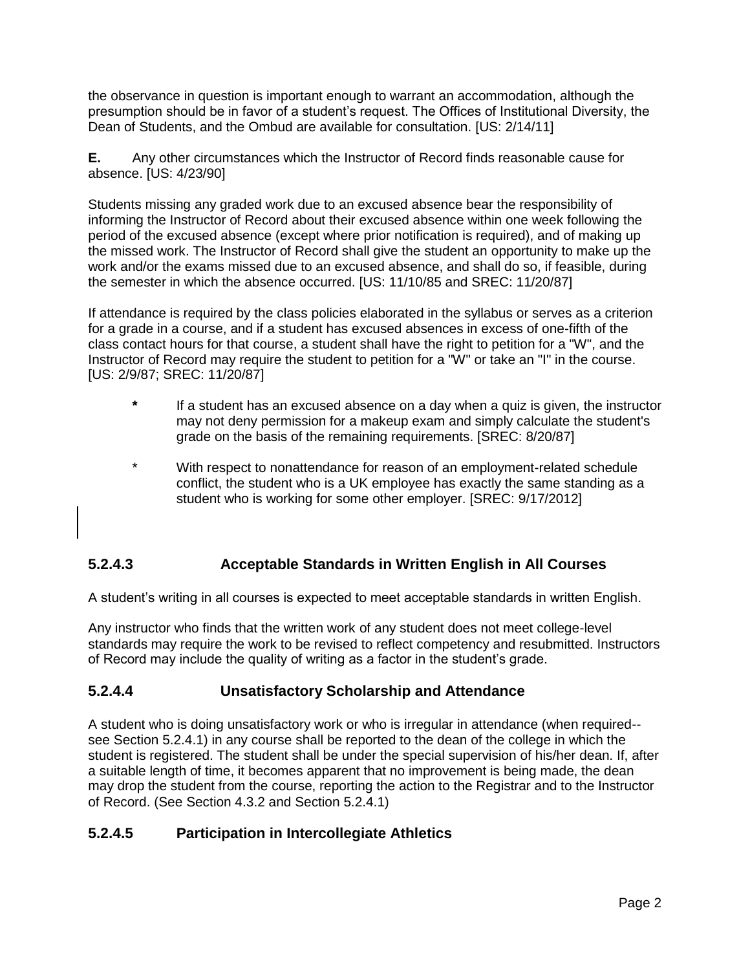the observance in question is important enough to warrant an accommodation, although the presumption should be in favor of a student's request. The Offices of Institutional Diversity, the Dean of Students, and the Ombud are available for consultation. [US: 2/14/11]

**E.** Any other circumstances which the Instructor of Record finds reasonable cause for absence. [US: 4/23/90]

Students missing any graded work due to an excused absence bear the responsibility of informing the Instructor of Record about their excused absence within one week following the period of the excused absence (except where prior notification is required), and of making up the missed work. The Instructor of Record shall give the student an opportunity to make up the work and/or the exams missed due to an excused absence, and shall do so, if feasible, during the semester in which the absence occurred. [US: 11/10/85 and SREC: 11/20/87]

If attendance is required by the class policies elaborated in the syllabus or serves as a criterion for a grade in a course, and if a student has excused absences in excess of one-fifth of the class contact hours for that course, a student shall have the right to petition for a "W", and the Instructor of Record may require the student to petition for a "W" or take an "I" in the course. [US: 2/9/87; SREC: 11/20/87]

- **\*** If a student has an excused absence on a day when a quiz is given, the instructor may not deny permission for a makeup exam and simply calculate the student's grade on the basis of the remaining requirements. [SREC: 8/20/87]
- \* With respect to nonattendance for reason of an employment-related schedule conflict, the student who is a UK employee has exactly the same standing as a student who is working for some other employer. [SREC: 9/17/2012]

## **5.2.4.3 Acceptable Standards in Written English in All Courses**

A student's writing in all courses is expected to meet acceptable standards in written English.

Any instructor who finds that the written work of any student does not meet college-level standards may require the work to be revised to reflect competency and resubmitted. Instructors of Record may include the quality of writing as a factor in the student's grade.

## **5.2.4.4 Unsatisfactory Scholarship and Attendance**

A student who is doing unsatisfactory work or who is irregular in attendance (when required- see Section 5.2.4.1) in any course shall be reported to the dean of the college in which the student is registered. The student shall be under the special supervision of his/her dean. If, after a suitable length of time, it becomes apparent that no improvement is being made, the dean may drop the student from the course, reporting the action to the Registrar and to the Instructor of Record. (See Section 4.3.2 and Section 5.2.4.1)

# **5.2.4.5 Participation in Intercollegiate Athletics**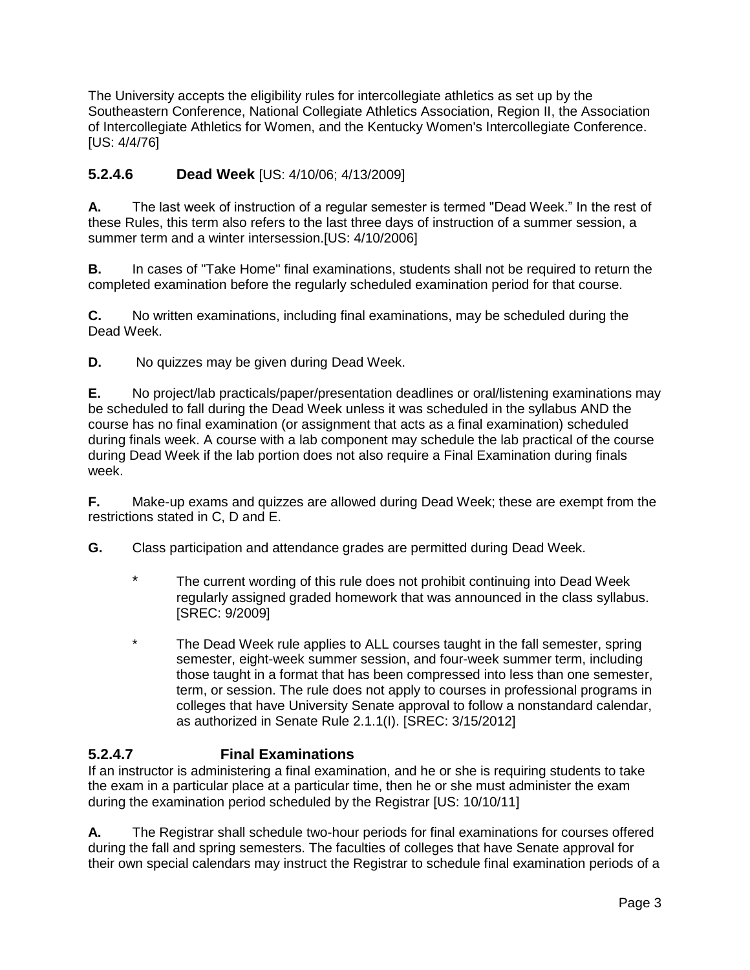The University accepts the eligibility rules for intercollegiate athletics as set up by the Southeastern Conference, National Collegiate Athletics Association, Region II, the Association of Intercollegiate Athletics for Women, and the Kentucky Women's Intercollegiate Conference. [US: 4/4/76]

## **5.2.4.6 Dead Week** [US: 4/10/06; 4/13/2009]

**A.** The last week of instruction of a regular semester is termed "Dead Week." In the rest of these Rules, this term also refers to the last three days of instruction of a summer session, a summer term and a winter intersession.[US: 4/10/2006]

**B.** In cases of "Take Home" final examinations, students shall not be required to return the completed examination before the regularly scheduled examination period for that course.

**C.** No written examinations, including final examinations, may be scheduled during the Dead Week.

**D.** No quizzes may be given during Dead Week.

**E.** No project/lab practicals/paper/presentation deadlines or oral/listening examinations may be scheduled to fall during the Dead Week unless it was scheduled in the syllabus AND the course has no final examination (or assignment that acts as a final examination) scheduled during finals week. A course with a lab component may schedule the lab practical of the course during Dead Week if the lab portion does not also require a Final Examination during finals week.

**F.** Make-up exams and quizzes are allowed during Dead Week; these are exempt from the restrictions stated in C, D and E.

**G.** Class participation and attendance grades are permitted during Dead Week.

- \* The current wording of this rule does not prohibit continuing into Dead Week regularly assigned graded homework that was announced in the class syllabus. [SREC: 9/2009]
- \* The Dead Week rule applies to ALL courses taught in the fall semester, spring semester, eight-week summer session, and four-week summer term, including those taught in a format that has been compressed into less than one semester, term, or session. The rule does not apply to courses in professional programs in colleges that have University Senate approval to follow a nonstandard calendar, as authorized in Senate Rule 2.1.1(I). [SREC: 3/15/2012]

## **5.2.4.7 Final Examinations**

If an instructor is administering a final examination, and he or she is requiring students to take the exam in a particular place at a particular time, then he or she must administer the exam during the examination period scheduled by the Registrar [US: 10/10/11]

**A.** The Registrar shall schedule two-hour periods for final examinations for courses offered during the fall and spring semesters. The faculties of colleges that have Senate approval for their own special calendars may instruct the Registrar to schedule final examination periods of a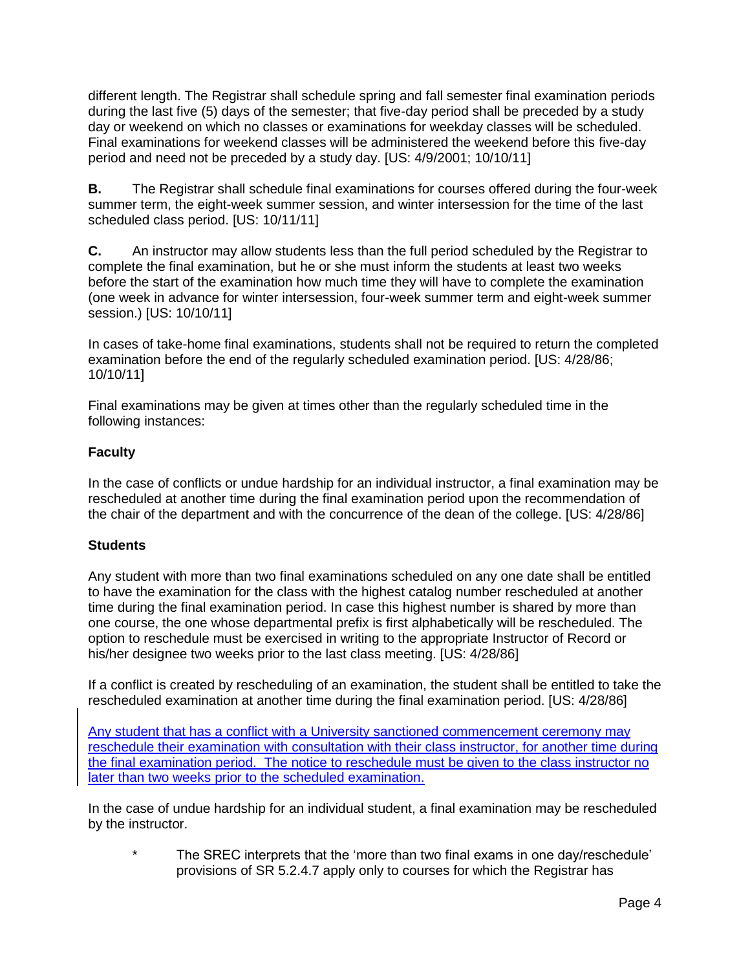different length. The Registrar shall schedule spring and fall semester final examination periods during the last five (5) days of the semester; that five-day period shall be preceded by a study day or weekend on which no classes or examinations for weekday classes will be scheduled. Final examinations for weekend classes will be administered the weekend before this five-day period and need not be preceded by a study day. [US: 4/9/2001; 10/10/11]

**B.** The Registrar shall schedule final examinations for courses offered during the four-week summer term, the eight-week summer session, and winter intersession for the time of the last scheduled class period. [US: 10/11/11]

**C.** An instructor may allow students less than the full period scheduled by the Registrar to complete the final examination, but he or she must inform the students at least two weeks before the start of the examination how much time they will have to complete the examination (one week in advance for winter intersession, four-week summer term and eight-week summer session.) [US: 10/10/11]

In cases of take-home final examinations, students shall not be required to return the completed examination before the end of the regularly scheduled examination period. [US: 4/28/86; 10/10/11]

Final examinations may be given at times other than the regularly scheduled time in the following instances:

#### **Faculty**

In the case of conflicts or undue hardship for an individual instructor, a final examination may be rescheduled at another time during the final examination period upon the recommendation of the chair of the department and with the concurrence of the dean of the college. [US: 4/28/86]

#### **Students**

Any student with more than two final examinations scheduled on any one date shall be entitled to have the examination for the class with the highest catalog number rescheduled at another time during the final examination period. In case this highest number is shared by more than one course, the one whose departmental prefix is first alphabetically will be rescheduled. The option to reschedule must be exercised in writing to the appropriate Instructor of Record or his/her designee two weeks prior to the last class meeting. [US: 4/28/86]

If a conflict is created by rescheduling of an examination, the student shall be entitled to take the rescheduled examination at another time during the final examination period. [US: 4/28/86]

Any student that has a conflict with a University sanctioned commencement ceremony may reschedule their examination with consultation with their class instructor, for another time during the final examination period. The notice to reschedule must be given to the class instructor no later than two weeks prior to the scheduled examination.

In the case of undue hardship for an individual student, a final examination may be rescheduled by the instructor.

\* The SREC interprets that the 'more than two final exams in one day/reschedule' provisions of SR 5.2.4.7 apply only to courses for which the Registrar has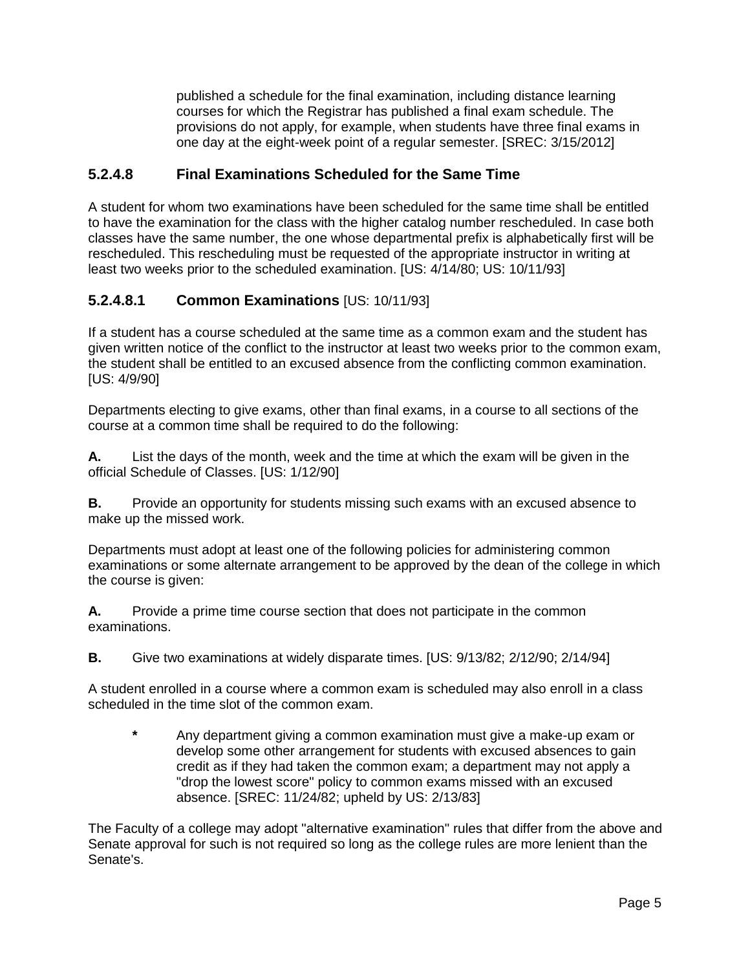published a schedule for the final examination, including distance learning courses for which the Registrar has published a final exam schedule. The provisions do not apply, for example, when students have three final exams in one day at the eight-week point of a regular semester. [SREC: 3/15/2012]

#### **5.2.4.8 Final Examinations Scheduled for the Same Time**

A student for whom two examinations have been scheduled for the same time shall be entitled to have the examination for the class with the higher catalog number rescheduled. In case both classes have the same number, the one whose departmental prefix is alphabetically first will be rescheduled. This rescheduling must be requested of the appropriate instructor in writing at least two weeks prior to the scheduled examination. [US: 4/14/80; US: 10/11/93]

## **5.2.4.8.1 Common Examinations** [US: 10/11/93]

If a student has a course scheduled at the same time as a common exam and the student has given written notice of the conflict to the instructor at least two weeks prior to the common exam, the student shall be entitled to an excused absence from the conflicting common examination. [US: 4/9/90]

Departments electing to give exams, other than final exams, in a course to all sections of the course at a common time shall be required to do the following:

**A.** List the days of the month, week and the time at which the exam will be given in the official Schedule of Classes. [US: 1/12/90]

**B.** Provide an opportunity for students missing such exams with an excused absence to make up the missed work.

Departments must adopt at least one of the following policies for administering common examinations or some alternate arrangement to be approved by the dean of the college in which the course is given:

**A.** Provide a prime time course section that does not participate in the common examinations.

**B.** Give two examinations at widely disparate times. [US: 9/13/82; 2/12/90; 2/14/94]

A student enrolled in a course where a common exam is scheduled may also enroll in a class scheduled in the time slot of the common exam.

**\*** Any department giving a common examination must give a make-up exam or develop some other arrangement for students with excused absences to gain credit as if they had taken the common exam; a department may not apply a "drop the lowest score" policy to common exams missed with an excused absence. [SREC: 11/24/82; upheld by US: 2/13/83]

The Faculty of a college may adopt "alternative examination" rules that differ from the above and Senate approval for such is not required so long as the college rules are more lenient than the Senate's.